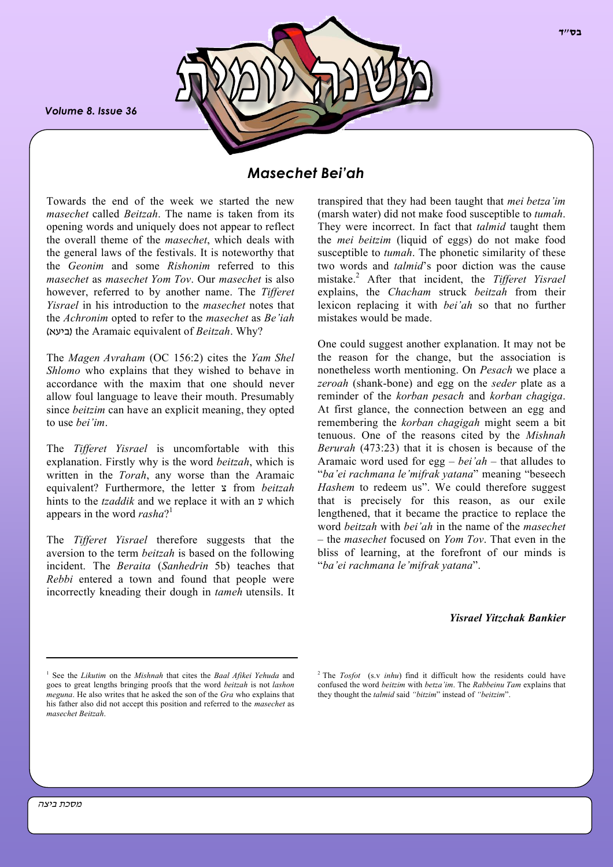*Volume 8. Issue 36*



# *Masechet Bei'ah*

Towards the end of the week we started the new *masechet* called *Beitzah*. The name is taken from its opening words and uniquely does not appear to reflect the overall theme of the *masechet*, which deals with the general laws of the festivals. It is noteworthy that the *Geonim* and some *Rishonim* referred to this *masechet* as *masechet Yom Tov*. Our *masechet* is also however, referred to by another name. The *Tifferet Yisrael* in his introduction to the *masechet* notes that the *Achronim* opted to refer to the *masechet* as *Be'iah* (ביעא (the Aramaic equivalent of *Beitzah*. Why?

The *Magen Avraham* (OC 156:2) cites the *Yam Shel Shlomo* who explains that they wished to behave in accordance with the maxim that one should never allow foul language to leave their mouth. Presumably since *beitzim* can have an explicit meaning, they opted to use *bei'im*.

The *Tifferet Yisrael* is uncomfortable with this explanation. Firstly why is the word *beitzah*, which is written in the *Torah*, any worse than the Aramaic equivalent? Furthermore, the letter צ from *beitzah* hints to the *tzaddik* and we replace it with an y which appears in the word *rasha*? 1

The *Tifferet Yisrael* therefore suggests that the aversion to the term *beitzah* is based on the following incident. The *Beraita* (*Sanhedrin* 5b) teaches that *Rebbi* entered a town and found that people were incorrectly kneading their dough in *tameh* utensils. It transpired that they had been taught that *mei betza'im* (marsh water) did not make food susceptible to *tumah*. They were incorrect. In fact that *talmid* taught them the *mei beitzim* (liquid of eggs) do not make food susceptible to *tumah*. The phonetic similarity of these two words and *talmid*'s poor diction was the cause mistake.<sup>2</sup> After that incident, the *Tifferet Yisrael* explains, the *Chacham* struck *beitzah* from their lexicon replacing it with *bei'ah* so that no further mistakes would be made.

One could suggest another explanation. It may not be the reason for the change, but the association is nonetheless worth mentioning. On *Pesach* we place a *zeroah* (shank-bone) and egg on the *seder* plate as a reminder of the *korban pesach* and *korban chagiga*. At first glance, the connection between an egg and remembering the *korban chagigah* might seem a bit tenuous. One of the reasons cited by the *Mishnah Berurah* (473:23) that it is chosen is because of the Aramaic word used for egg – *bei'ah* – that alludes to "*ba'ei rachmana le'mifrak yatana*" meaning "beseech *Hashem* to redeem us". We could therefore suggest that is precisely for this reason, as our exile lengthened, that it became the practice to replace the word *beitzah* with *bei'ah* in the name of the *masechet* – the *masechet* focused on *Yom Tov*. That even in the bliss of learning, at the forefront of our minds is "*ba'ei rachmana le'mifrak yatana*".

*Yisrael Yitzchak Bankier*

<sup>1</sup> See the *Likutim* on the *Mishnah* that cites the *Baal Afikei Yehuda* and goes to great lengths bringing proofs that the word *beitzah* is not *lashon meguna*. He also writes that he asked the son of the *Gra* who explains that his father also did not accept this position and referred to the *masechet* as *masechet Beitzah*.

<sup>2</sup> The *Tosfot* (s.v *inhu*) find it difficult how the residents could have confused the word *beitzim* with *betza'im*. The *Rabbeinu Tam* explains that they thought the *talmid* said *"bitzim*" instead of *"beitzim*".